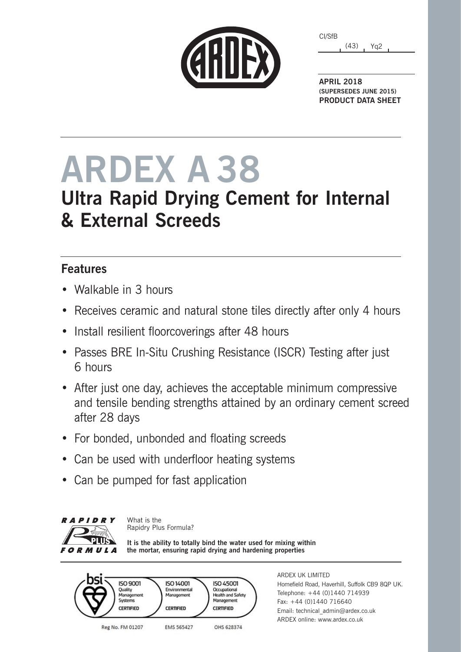|  | GRIJEX |
|--|--------|
|  |        |

| CI/SfB |      |     |  |
|--------|------|-----|--|
|        | (43) | Ya2 |  |

**APRIL 2018 (SUPERSEDES JUNE 2015) PRODUCT DATA SHEET**

# **ARDEX A 38**

## **Ultra Rapid Drying Cement for Internal & External Screeds**

### **Features**

- Walkable in 3 hours
- Receives ceramic and natural stone tiles directly after only 4 hours
- Install resilient floorcoverings after 48 hours
- Passes BRE In-Situ Crushing Resistance (ISCR) Testing after just 6 hours
- After just one day, achieves the acceptable minimum compressive and tensile bending strengths attained by an ordinary cement screed after 28 days
- For bonded, unbonded and floating screeds
- Can be used with underfloor heating systems
- Can be pumped for fast application



What is the Rapidry Plus Formula?

**It is the ability to totally bind the water used for mixing within the mortar, ensuring rapid drying and hardening properties**



ARDEX UK LIMITED Homefield Road, Haverhill, Suffolk CB9 8QP UK. Telephone: +44 (0)1440 714939 Fax: +44 (0)1440 716640 Email: technical\_admin@ardex.co.uk ARDEX online: www.ardex.co.uk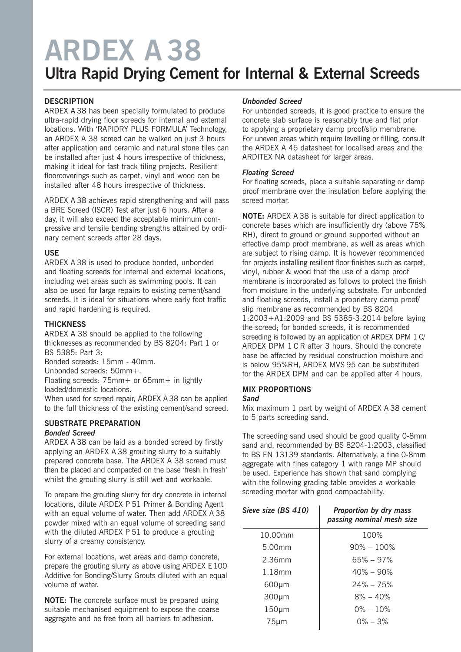## **ARDEX A 38**

### **Ultra Rapid Drying Cement for Internal & External Screeds**

#### **DESCRIPTION**

ARDEX A 38 has been specially formulated to produce ultra-rapid drying floor screeds for internal and external locations. With 'RAPIDRY PLUS FORMULA' Technology, an ARDEX A 38 screed can be walked on just 3 hours after application and ceramic and natural stone tiles can be installed after just 4 hours irrespective of thickness, making it ideal for fast track tiling projects. Resilient floorcoverings such as carpet, vinyl and wood can be installed after 48 hours irrespective of thickness.

ARDEX A 38 achieves rapid strengthening and will pass a BRE Screed (ISCR) Test after just 6 hours. After a day, it will also exceed the acceptable minimum compressive and tensile bending strengths attained by ordinary cement screeds after 28 days.

#### **USE**

ARDEX A 38 is used to produce bonded, unbonded and floating screeds for internal and external locations, including wet areas such as swimming pools. It can also be used for large repairs to existing cement/sand screeds. It is ideal for situations where early foot traffic and rapid hardening is required.

#### **THICKNESS**

ARDEX A 38 should be applied to the following thicknesses as recommended by BS 8204: Part 1 or BS 5385: Part 3:

Bonded screeds: 15mm - 40mm.

Unbonded screeds: 50mm+.

Floating screeds: 75mm+ or 65mm+ in lightly loaded/domestic locations.

When used for screed repair, ARDEX A 38 can be applied to the full thickness of the existing cement/sand screed.

#### **SUBSTRATE PREPARATION** *Bonded Screed*

ARDEX A 38 can be laid as a bonded screed by firstly applying an ARDEX A 38 grouting slurry to a suitably prepared concrete base. The ARDEX A 38 screed must then be placed and compacted on the base 'fresh in fresh' whilst the grouting slurry is still wet and workable.

To prepare the grouting slurry for dry concrete in internal locations, dilute ARDEX P 51 Primer & Bonding Agent with an equal volume of water. Then add ARDEX A 38 powder mixed with an equal volume of screeding sand with the diluted ARDEX P 51 to produce a grouting slurry of a creamy consistency.

For external locations, wet areas and damp concrete, prepare the grouting slurry as above using ARDEX E100 Additive for Bonding/Slurry Grouts diluted with an equal volume of water.

**NOTE:** The concrete surface must be prepared using suitable mechanised equipment to expose the coarse aggregate and be free from all barriers to adhesion.

#### *Unbonded Screed*

For unbonded screeds, it is good practice to ensure the concrete slab surface is reasonably true and flat prior to applying a proprietary damp proof/slip membrane. For uneven areas which require levelling or filling, consult the ARDEX A 46 datasheet for localised areas and the ARDITEX NA datasheet for larger areas.

#### *Floating Screed*

For floating screeds, place a suitable separating or damp proof membrane over the insulation before applying the screed mortar.

**NOTE:** ARDEX A 38 is suitable for direct application to concrete bases which are insufficiently dry (above 75% RH), direct to ground or ground supported without an effective damp proof membrane, as well as areas which are subject to rising damp. It is however recommended for projects installing resilient floor finishes such as carpet, vinyl, rubber & wood that the use of a damp proof membrane is incorporated as follows to protect the finish from moisture in the underlying substrate. For unbonded and floating screeds, install a proprietary damp proof/ slip membrane as recommended by BS 8204 1:2003+A1:2009 and BS 5385-3:2014 before laying the screed; for bonded screeds, it is recommended screeding is followed by an application of ARDEX DPM 1 C/ ARDEX DPM 1 C R after 3 hours. Should the concrete base be affected by residual construction moisture and is below 95%RH, ARDEX MVS 95 can be substituted for the ARDEX DPM and can be applied after 4 hours.

#### **MIX PROPORTIONS**

#### *Sand*

Mix maximum 1 part by weight of ARDEX A 38 cement to 5 parts screeding sand.

The screeding sand used should be good quality 0-8mm sand and, recommended by BS 8204-1:2003, classified to BS EN 13139 standards. Alternatively, a fine 0-8mm aggregate with fines category 1 with range MP should be used. Experience has shown that sand complying with the following grading table provides a workable screeding mortar with good compactability.

| Sieve size (BS 410) | Proportion by dry mass<br>passing nominal mesh size |
|---------------------|-----------------------------------------------------|
| 10.00mm             | 100%                                                |
| 5.00mm              | $90\% - 100\%$                                      |
| 2.36mm              | $65\% - 97\%$                                       |
| 1.18mm              | $40\% - 90\%$                                       |
| $600 \mu m$         | $24\% - 75\%$                                       |
| $300 \mu m$         | $8\% - 40\%$                                        |
| $150 \mu m$         | $0\% - 10\%$                                        |
| $75 \mu m$          | $0\% - 3\%$                                         |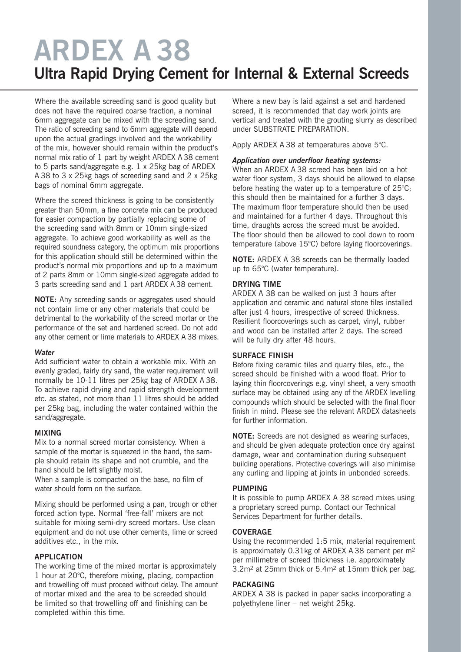## **ARDEX A 38 Ultra Rapid Drying Cement for Internal & External Screeds**

Where the available screeding sand is good quality but does not have the required coarse fraction, a nominal 6mm aggregate can be mixed with the screeding sand. The ratio of screeding sand to 6mm aggregate will depend upon the actual gradings involved and the workability of the mix, however should remain within the product's normal mix ratio of 1 part by weight ARDEX A 38 cement to 5 parts sand/aggregate e.g. 1 x 25kg bag of ARDEX A 38 to 3 x 25kg bags of screeding sand and 2 x 25kg bags of nominal 6mm aggregate.

Where the screed thickness is going to be consistently greater than 50mm, a fine concrete mix can be produced for easier compaction by partially replacing some of the screeding sand with 8mm or 10mm single-sized aggregate. To achieve good workability as well as the required soundness category, the optimum mix proportions for this application should still be determined within the product's normal mix proportions and up to a maximum of 2 parts 8mm or 10mm single-sized aggregate added to 3 parts screeding sand and 1 part ARDEX A 38 cement.

**NOTE:** Any screeding sands or aggregates used should not contain lime or any other materials that could be detrimental to the workability of the screed mortar or the performance of the set and hardened screed. Do not add any other cement or lime materials to ARDEX A 38 mixes.

#### *Water*

Add sufficient water to obtain a workable mix. With an evenly graded, fairly dry sand, the water requirement will normally be 10-11 litres per 25kg bag of ARDEX A 38. To achieve rapid drying and rapid strength development etc. as stated, not more than 11 litres should be added per 25kg bag, including the water contained within the sand/aggregate.

#### **MIXING**

Mix to a normal screed mortar consistency. When a sample of the mortar is squeezed in the hand, the sample should retain its shape and not crumble, and the hand should be left slightly moist.

When a sample is compacted on the base, no film of water should form on the surface.

Mixing should be performed using a pan, trough or other forced action type. Normal 'free-fall' mixers are not suitable for mixing semi-dry screed mortars. Use clean equipment and do not use other cements, lime or screed additives etc., in the mix.

#### **APPLICATION**

The working time of the mixed mortar is approximately 1 hour at 20°C, therefore mixing, placing, compaction and trowelling off must proceed without delay. The amount of mortar mixed and the area to be screeded should be limited so that trowelling off and finishing can be completed within this time.

Where a new bay is laid against a set and hardened screed, it is recommended that day work joints are vertical and treated with the grouting slurry as described under SUBSTRATE PREPARATION.

Apply ARDEX A 38 at temperatures above 5°C.

#### *Application over underfloor heating systems:*

When an ARDEX A 38 screed has been laid on a hot water floor system, 3 days should be allowed to elapse before heating the water up to a temperature of 25°C; this should then be maintained for a further 3 days. The maximum floor temperature should then be used and maintained for a further 4 days. Throughout this time, draughts across the screed must be avoided. The floor should then be allowed to cool down to room temperature (above 15°C) before laying floorcoverings.

**NOTE:** ARDEX A 38 screeds can be thermally loaded up to 65°C (water temperature).

#### **DRYING TIME**

ARDEX A 38 can be walked on just 3 hours after application and ceramic and natural stone tiles installed after just 4 hours, irrespective of screed thickness. Resilient floorcoverings such as carpet, vinyl, rubber and wood can be installed after 2 days. The screed will be fully dry after 48 hours.

#### **SURFACE FINISH**

Before fixing ceramic tiles and quarry tiles, etc., the screed should be finished with a wood float. Prior to laying thin floorcoverings e.g. vinyl sheet, a very smooth surface may be obtained using any of the ARDEX levelling compounds which should be selected with the final floor finish in mind. Please see the relevant ARDEX datasheets for further information.

**NOTE:** Screeds are not designed as wearing surfaces, and should be given adequate protection once dry against damage, wear and contamination during subsequent building operations. Protective coverings will also minimise any curling and lipping at joints in unbonded screeds.

#### **PUMPING**

It is possible to pump ARDEX A 38 screed mixes using a proprietary screed pump. Contact our Technical Services Department for further details.

#### **COVERAGE**

Using the recommended 1:5 mix, material requirement is approximately 0.31kg of ARDEX A 38 cement per m2 per millimetre of screed thickness i.e. approximately 3.2m2 at 25mm thick or 5.4m2 at 15mm thick per bag.

#### **PACKAGING**

ARDEX A 38 is packed in paper sacks incorporating a polyethylene liner – net weight 25kg.